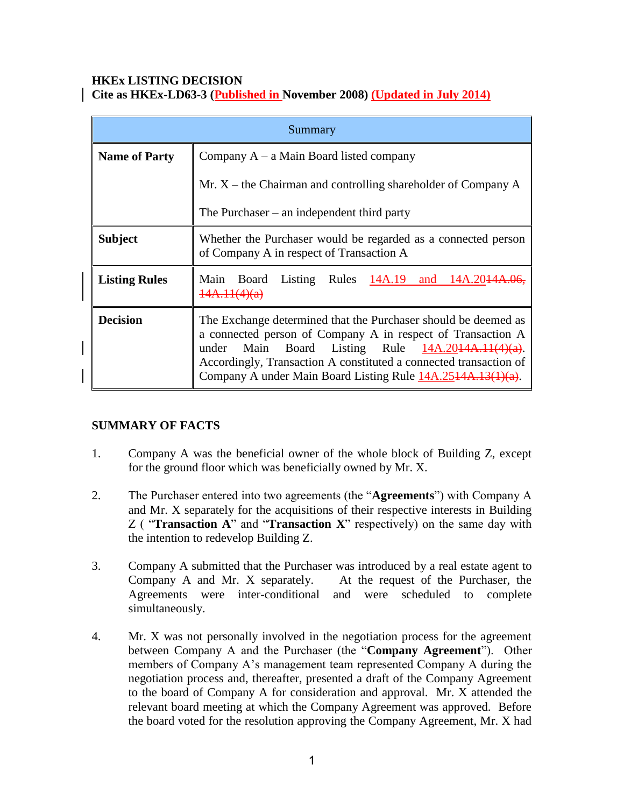#### **HKEx LISTING DECISION Cite as HKEx-LD63-3 (Published in November 2008) (Updated in July 2014)**

| Summary              |                                                                                                                                                                                                                                                                                                                              |
|----------------------|------------------------------------------------------------------------------------------------------------------------------------------------------------------------------------------------------------------------------------------------------------------------------------------------------------------------------|
| <b>Name of Party</b> | Company $A - a$ Main Board listed company                                                                                                                                                                                                                                                                                    |
|                      | Mr. $X$ – the Chairman and controlling shareholder of Company A                                                                                                                                                                                                                                                              |
|                      | The Purchaser $-$ an independent third party                                                                                                                                                                                                                                                                                 |
| <b>Subject</b>       | Whether the Purchaser would be regarded as a connected person<br>of Company A in respect of Transaction A                                                                                                                                                                                                                    |
| <b>Listing Rules</b> | Listing Rules $14A.19$ and $14A.2014A.06$ ,<br>Main Board<br><del>14A.11(4)(a)</del>                                                                                                                                                                                                                                         |
| <b>Decision</b>      | The Exchange determined that the Purchaser should be deemed as<br>a connected person of Company A in respect of Transaction A<br>Main Board Listing Rule $14A.2044A.11(4)(a)$ .<br>under<br>Accordingly, Transaction A constituted a connected transaction of<br>Company A under Main Board Listing Rule 14A.2514A.13(1)(a). |

# **SUMMARY OF FACTS**

- 1. Company A was the beneficial owner of the whole block of Building Z, except for the ground floor which was beneficially owned by Mr. X.
- 2. The Purchaser entered into two agreements (the "**Agreements**") with Company A and Mr. X separately for the acquisitions of their respective interests in Building Z ( "**Transaction A**" and "**Transaction X**" respectively) on the same day with the intention to redevelop Building Z.
- 3. Company A submitted that the Purchaser was introduced by a real estate agent to Company A and Mr. X separately. At the request of the Purchaser, the Agreements were inter-conditional and were scheduled to complete simultaneously.
- 4. Mr. X was not personally involved in the negotiation process for the agreement between Company A and the Purchaser (the "**Company Agreement**"). Other members of Company A's management team represented Company A during the negotiation process and, thereafter, presented a draft of the Company Agreement to the board of Company A for consideration and approval. Mr. X attended the relevant board meeting at which the Company Agreement was approved. Before the board voted for the resolution approving the Company Agreement, Mr. X had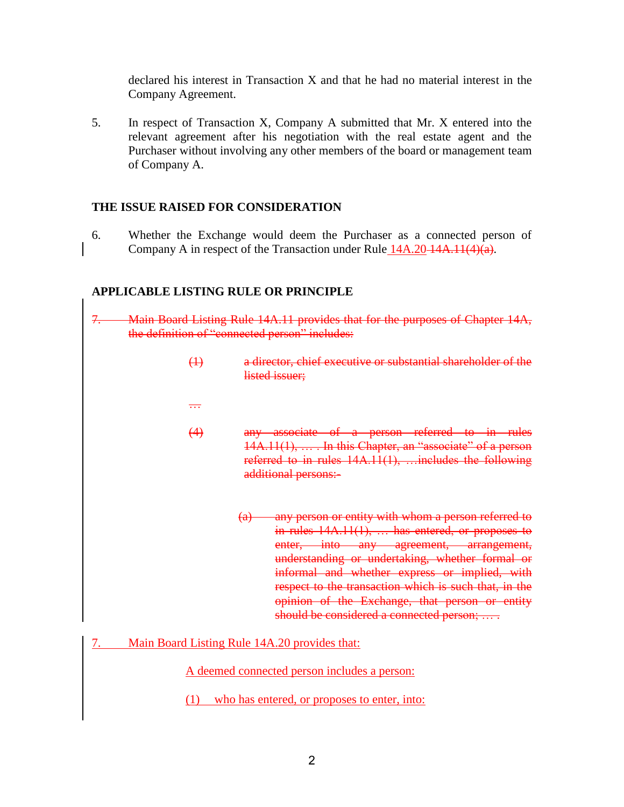declared his interest in Transaction X and that he had no material interest in the Company Agreement.

5. In respect of Transaction X, Company A submitted that Mr. X entered into the relevant agreement after his negotiation with the real estate agent and the Purchaser without involving any other members of the board or management team of Company A.

#### **THE ISSUE RAISED FOR CONSIDERATION**

6. Whether the Exchange would deem the Purchaser as a connected person of Company A in respect of the Transaction under Rule  $14A.20-14A.11(4)(a)$ .

#### **APPLICABLE LISTING RULE OR PRINCIPLE**

- 7. Main Board Listing Rule 14A.11 provides that for the purposes of Chapter 14A, the definition of "connected person" includes:
	- (1) a director, chief executive or substantial shareholder of the listed issuer;
	- …
	- (4) any associate of a person referred to in rules 14A.11(1), … . In this Chapter, an "associate" of a person referred to in rules 14A.11(1), …includes the following additional persons:-
		- (a) any person or entity with whom a person referred to in rules 14A.11(1), ... has entered, or proposes to enter, into any agreement, arrangement, understanding or undertaking, whether formal or informal and whether express or implied, with respect to the transaction which is such that, in the opinion of the Exchange, that person or entity should be considered a connected person; ....
- 7. Main Board Listing Rule 14A.20 provides that:

A deemed connected person includes a person:

(1) who has entered, or proposes to enter, into: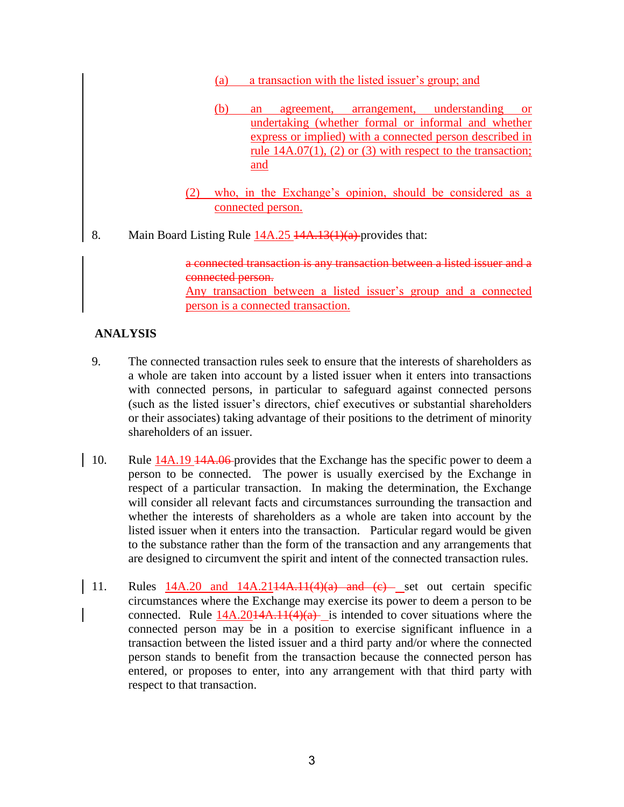- (a) a transaction with the listed issuer's group; and
- (b) an agreement, arrangement, understanding or undertaking (whether formal or informal and whether express or implied) with a connected person described in rule 14A.07(1), (2) or (3) with respect to the transaction; and
- (2) who, in the Exchange's opinion, should be considered as a connected person.
- 8. Main Board Listing Rule  $\frac{14A.25}{4A.13(1)(a)}$  provides that:

a connected transaction is any transaction between a listed issuer and a connected person. Any transaction between a listed issuer's group and a connected

person is a connected transaction.

## **ANALYSIS**

- 9. The connected transaction rules seek to ensure that the interests of shareholders as a whole are taken into account by a listed issuer when it enters into transactions with connected persons, in particular to safeguard against connected persons (such as the listed issuer's directors, chief executives or substantial shareholders or their associates) taking advantage of their positions to the detriment of minority shareholders of an issuer.
- 10. Rule 14A.19 <del>14A.06</del>-provides that the Exchange has the specific power to deem a person to be connected. The power is usually exercised by the Exchange in respect of a particular transaction. In making the determination, the Exchange will consider all relevant facts and circumstances surrounding the transaction and whether the interests of shareholders as a whole are taken into account by the listed issuer when it enters into the transaction. Particular regard would be given to the substance rather than the form of the transaction and any arrangements that are designed to circumvent the spirit and intent of the connected transaction rules.
- 11. Rules  $14A.20$  and  $14A.2114A.11(4)(a)$  and  $(e)$  set out certain specific circumstances where the Exchange may exercise its power to deem a person to be connected. Rule  $14A.2014A.11(4)(a)$  is intended to cover situations where the connected person may be in a position to exercise significant influence in a transaction between the listed issuer and a third party and/or where the connected person stands to benefit from the transaction because the connected person has entered, or proposes to enter, into any arrangement with that third party with respect to that transaction.